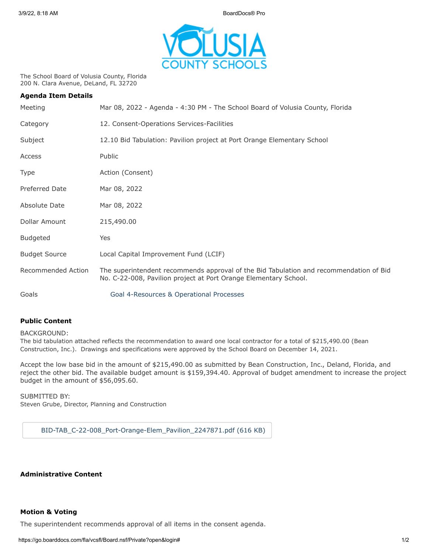3/9/22, 8:18 AM BoardDocs® Pro



The School Board of Volusia County, Florida 200 N. Clara Avenue, DeLand, FL 32720

| <b>Agenda Item Details</b> |                                                                                                                                                            |
|----------------------------|------------------------------------------------------------------------------------------------------------------------------------------------------------|
| Meeting                    | Mar 08, 2022 - Agenda - 4:30 PM - The School Board of Volusia County, Florida                                                                              |
| Category                   | 12. Consent-Operations Services-Facilities                                                                                                                 |
| Subject                    | 12.10 Bid Tabulation: Pavilion project at Port Orange Elementary School                                                                                    |
| Access                     | Public                                                                                                                                                     |
| Type                       | Action (Consent)                                                                                                                                           |
| <b>Preferred Date</b>      | Mar 08, 2022                                                                                                                                               |
| Absolute Date              | Mar 08, 2022                                                                                                                                               |
| Dollar Amount              | 215,490.00                                                                                                                                                 |
| <b>Budgeted</b>            | Yes                                                                                                                                                        |
| <b>Budget Source</b>       | Local Capital Improvement Fund (LCIF)                                                                                                                      |
| Recommended Action         | The superintendent recommends approval of the Bid Tabulation and recommendation of Bid<br>No. C-22-008, Pavilion project at Port Orange Elementary School. |
| Goals                      | Goal 4-Resources & Operational Processes                                                                                                                   |

## **Public Content**

BACKGROUND:

The bid tabulation attached reflects the recommendation to award one local contractor for a total of \$215,490.00 (Bean Construction, Inc.). Drawings and specifications were approved by the School Board on December 14, 2021.

Accept the low base bid in the amount of \$215,490.00 as submitted by Bean Construction, Inc., Deland, Florida, and reject the other bid. The available budget amount is \$159,394.40. Approval of budget amendment to increase the project budget in the amount of \$56,095.60.

SUBMITTED BY: Steven Grube, Director, Planning and Construction

[BID-TAB\\_C-22-008\\_Port-Orange-Elem\\_Pavilion\\_2247871.pdf \(616 KB\)](https://go.boarddocs.com/fla/vcsfl/Board.nsf/files/CBRRQC6F1494/$file/BID-TAB_C-22-008_Port-Orange-Elem_Pavilion_2247871.pdf)

**Administrative Content**

## **Motion & Voting**

The superintendent recommends approval of all items in the consent agenda.